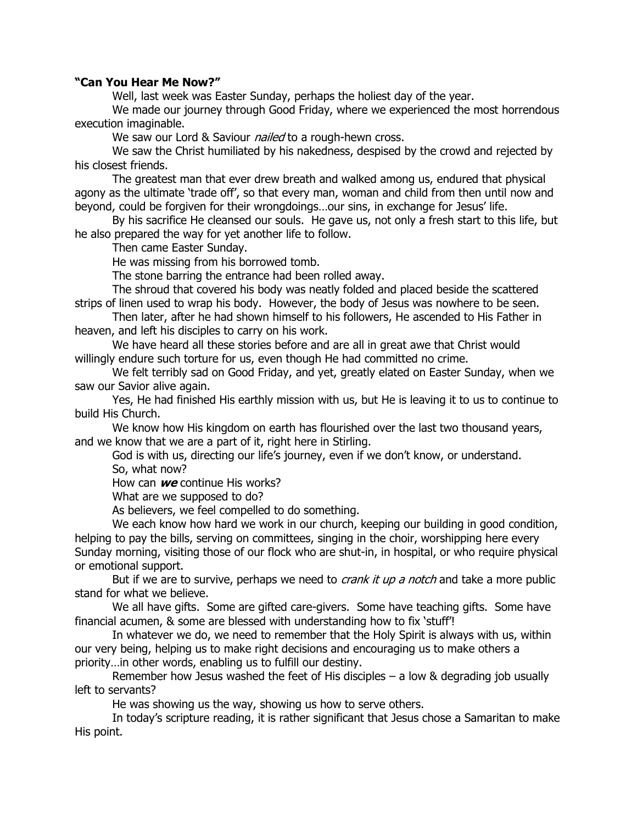## **"Can You Hear Me Now?"**

Well, last week was Easter Sunday, perhaps the holiest day of the year.

We made our journey through Good Friday, where we experienced the most horrendous execution imaginable.

We saw our Lord & Saviour *nailed* to a rough-hewn cross.

We saw the Christ humiliated by his nakedness, despised by the crowd and rejected by his closest friends.

The greatest man that ever drew breath and walked among us, endured that physical agony as the ultimate 'trade off', so that every man, woman and child from then until now and beyond, could be forgiven for their wrongdoings…our sins, in exchange for Jesus' life.

By his sacrifice He cleansed our souls. He gave us, not only a fresh start to this life, but he also prepared the way for yet another life to follow.

Then came Easter Sunday.

He was missing from his borrowed tomb.

The stone barring the entrance had been rolled away.

The shroud that covered his body was neatly folded and placed beside the scattered strips of linen used to wrap his body. However, the body of Jesus was nowhere to be seen.

Then later, after he had shown himself to his followers, He ascended to His Father in heaven, and left his disciples to carry on his work.

We have heard all these stories before and are all in great awe that Christ would willingly endure such torture for us, even though He had committed no crime.

We felt terribly sad on Good Friday, and yet, greatly elated on Easter Sunday, when we saw our Savior alive again.

Yes, He had finished His earthly mission with us, but He is leaving it to us to continue to build His Church.

We know how His kingdom on earth has flourished over the last two thousand years, and we know that we are a part of it, right here in Stirling.

God is with us, directing our life's journey, even if we don't know, or understand. So, what now?

How can **we** continue His works?

What are we supposed to do?

As believers, we feel compelled to do something.

We each know how hard we work in our church, keeping our building in good condition, helping to pay the bills, serving on committees, singing in the choir, worshipping here every Sunday morning, visiting those of our flock who are shut-in, in hospital, or who require physical or emotional support.

But if we are to survive, perhaps we need to *crank it up a notch* and take a more public stand for what we believe.

We all have gifts. Some are gifted care-givers. Some have teaching gifts. Some have financial acumen, & some are blessed with understanding how to fix 'stuff'!

In whatever we do, we need to remember that the Holy Spirit is always with us, within our very being, helping us to make right decisions and encouraging us to make others a priority…in other words, enabling us to fulfill our destiny.

Remember how Jesus washed the feet of His disciples  $-$  a low & degrading job usually left to servants?

He was showing us the way, showing us how to serve others.

In today's scripture reading, it is rather significant that Jesus chose a Samaritan to make His point.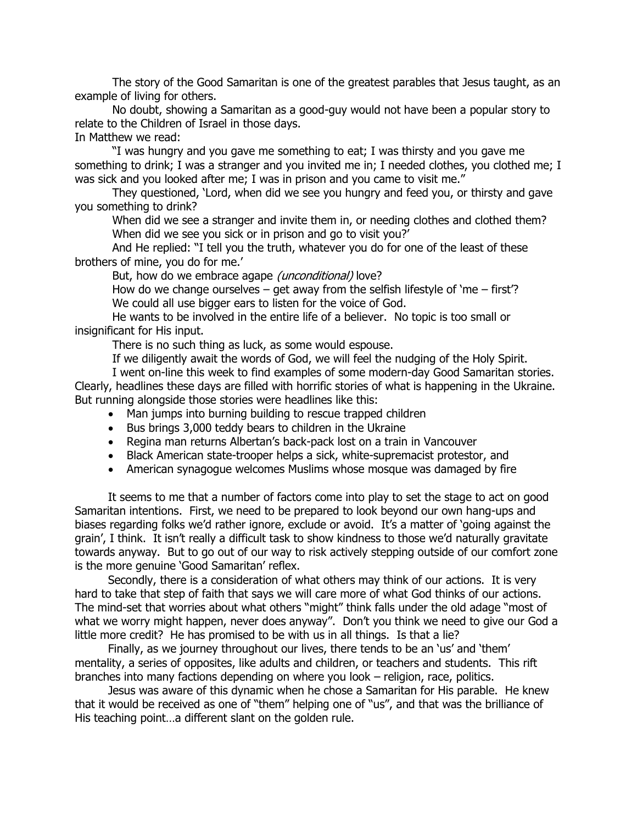The story of the Good Samaritan is one of the greatest parables that Jesus taught, as an example of living for others.

No doubt, showing a Samaritan as a good-guy would not have been a popular story to relate to the Children of Israel in those days.

In Matthew we read:

"I was hungry and you gave me something to eat; I was thirsty and you gave me something to drink; I was a stranger and you invited me in; I needed clothes, you clothed me; I was sick and you looked after me; I was in prison and you came to visit me."

They questioned, 'Lord, when did we see you hungry and feed you, or thirsty and gave you something to drink?

When did we see a stranger and invite them in, or needing clothes and clothed them? When did we see you sick or in prison and go to visit you?'

And He replied: "I tell you the truth, whatever you do for one of the least of these brothers of mine, you do for me.'

But, how do we embrace agape (unconditional) love?

How do we change ourselves  $-$  get away from the selfish lifestyle of 'me  $-$  first'? We could all use bigger ears to listen for the voice of God.

He wants to be involved in the entire life of a believer. No topic is too small or insignificant for His input.

There is no such thing as luck, as some would espouse.

If we diligently await the words of God, we will feel the nudging of the Holy Spirit.

I went on-line this week to find examples of some modern-day Good Samaritan stories. Clearly, headlines these days are filled with horrific stories of what is happening in the Ukraine. But running alongside those stories were headlines like this:

- Man jumps into burning building to rescue trapped children
- Bus brings 3,000 teddy bears to children in the Ukraine
- Regina man returns Albertan's back-pack lost on a train in Vancouver
- Black American state-trooper helps a sick, white-supremacist protestor, and
- American synagogue welcomes Muslims whose mosque was damaged by fire

It seems to me that a number of factors come into play to set the stage to act on good Samaritan intentions. First, we need to be prepared to look beyond our own hang-ups and biases regarding folks we'd rather ignore, exclude or avoid. It's a matter of 'going against the grain', I think. It isn't really a difficult task to show kindness to those we'd naturally gravitate towards anyway. But to go out of our way to risk actively stepping outside of our comfort zone is the more genuine 'Good Samaritan' reflex.

Secondly, there is a consideration of what others may think of our actions. It is very hard to take that step of faith that says we will care more of what God thinks of our actions. The mind-set that worries about what others "might" think falls under the old adage "most of what we worry might happen, never does anyway". Don't you think we need to give our God a little more credit? He has promised to be with us in all things. Is that a lie?

Finally, as we journey throughout our lives, there tends to be an 'us' and 'them' mentality, a series of opposites, like adults and children, or teachers and students. This rift branches into many factions depending on where you look – religion, race, politics.

Jesus was aware of this dynamic when he chose a Samaritan for His parable. He knew that it would be received as one of "them" helping one of "us", and that was the brilliance of His teaching point…a different slant on the golden rule.